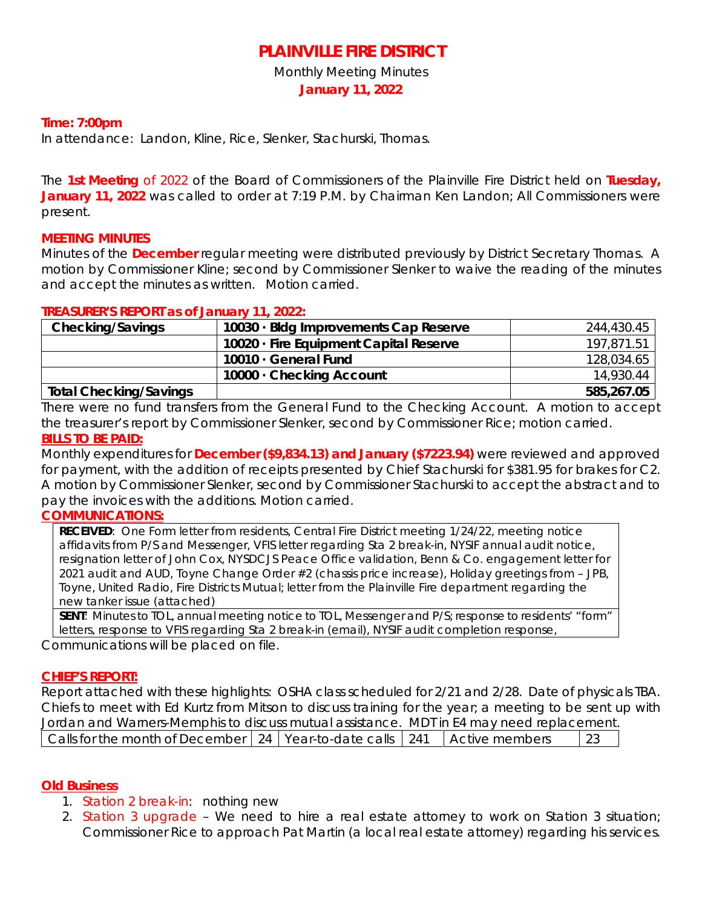# **PLAINVILLE FIRE DISTRICT**

Monthly Meeting Minutes

**January 11, 2022**

## **Time: 7:00pm**

In attendance: Landon, Kline, Rice, Slenker, Stachurski, Thomas.

The **1st Meeting** of 2022 of the Board of Commissioners of the Plainville Fire District held on **Tuesday, January 11, 2022** was called to order at 7:19 P.M. by Chairman Ken Landon; All Commissioners were present.

### **MEETING MINUTES**

Minutes of the **December** regular meeting were distributed previously by District Secretary Thomas. A motion by Commissioner Kline; second by Commissioner Slenker to waive the reading of the minutes and accept the minutes as written. Motion carried.

#### **TREASURER'S REPORT as of January 11, 2022:**

| <b>Checking/Savings</b>       | 10030 · Bldg Improvements Cap Reserve  | 244,430.45 |
|-------------------------------|----------------------------------------|------------|
|                               | 10020 · Fire Equipment Capital Reserve | 197,871.51 |
|                               | $10010 \cdot$ General Fund             | 128,034.65 |
|                               | 10000 Checking Account                 | 14,930.44  |
| <b>Total Checking/Savings</b> |                                        | 585,267.05 |

There were no fund transfers from the General Fund to the Checking Account. A motion to accept the treasurer's report by Commissioner Slenker, second by Commissioner Rice; motion carried. **BILLS TO BE PAID:** 

Monthly expenditures for **December (\$9,834.13) and January (\$7223.94)** were reviewed and approved for payment, with the addition of receipts presented by Chief Stachurski for \$381.95 for brakes for C2. A motion by Commissioner Slenker, second by Commissioner Stachurski to accept the abstract and to pay the invoices with the additions. Motion carried.

#### **COMMUNICATIONS:**

**RECEIVED**: One Form letter from residents, Central Fire District meeting 1/24/22, meeting notice affidavits from P/S and Messenger, VFIS letter regarding Sta 2 break-in, NYSIF annual audit notice, resignation letter of John Cox, NYSDCJS Peace Office validation, Benn & Co. engagement letter for 2021 audit and AUD, Toyne Change Order #2 (chassis price increase), Holiday greetings from – JPB, Toyne, United Radio, Fire Districts Mutual; letter from the Plainville Fire department regarding the new tanker issue (attached)

**SENT**: Minutes to TOL, annual meeting notice to TOL, Messenger and P/S; response to residents' "form" letters, response to VFIS regarding Sta 2 break-in (email), NYSIF audit completion response,

Communications will be placed on file.

#### **CHIEF'S REPORT:**

Report attached with these highlights: OSHA class scheduled for 2/21 and 2/28. Date of physicals TBA. Chiefs to meet with Ed Kurtz from Mitson to discuss training for the year; a meeting to be sent up with Jordan and Warners-Memphis to discuss mutual assistance. MDT in E4 may need replacement. Calls for the month of December 24 Year-to-date calls  $\vert$  241 Active members 23

#### **Old Business**

- 1. Station 2 break-in: nothing new
- 2. Station 3 upgrade We need to hire a real estate attorney to work on Station 3 situation; Commissioner Rice to approach Pat Martin (a local real estate attorney) regarding his services.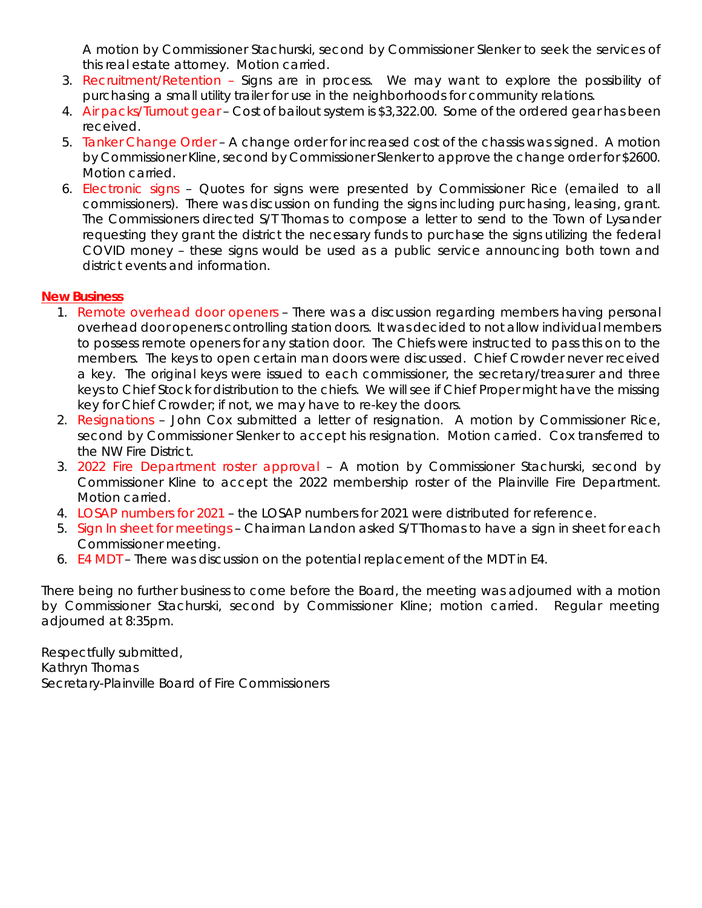A motion by Commissioner Stachurski, second by Commissioner Slenker to seek the services of this real estate attorney. Motion carried.

- 3. Recruitment/Retention Signs are in process. We may want to explore the possibility of purchasing a small utility trailer for use in the neighborhoods for community relations.
- 4. Air packs/Turnout gear Cost of bailout system is \$3,322.00. Some of the ordered gear has been received.
- 5. Tanker Change Order A change order for increased cost of the chassis was signed. A motion by Commissioner Kline, second by Commissioner Slenker to approve the change order for \$2600. Motion carried.
- 6. Electronic signs Quotes for signs were presented by Commissioner Rice (emailed to all commissioners). There was discussion on funding the signs including purchasing, leasing, grant. The Commissioners directed S/T Thomas to compose a letter to send to the Town of Lysander requesting they grant the district the necessary funds to purchase the signs utilizing the federal COVID money – these signs would be used as a public service announcing both town and district events and information.

## **New Business**

- 1. Remote overhead door openers There was a discussion regarding members having personal overhead door openers controlling station doors. It was decided to not allow individual members to possess remote openers for any station door. The Chiefs were instructed to pass this on to the members. The keys to open certain man doors were discussed. Chief Crowder never received a key. The original keys were issued to each commissioner, the secretary/treasurer and three keys to Chief Stock for distribution to the chiefs. We will see if Chief Proper might have the missing key for Chief Crowder; if not, we may have to re-key the doors.
- 2. Resignations John Cox submitted a letter of resignation. A motion by Commissioner Rice, second by Commissioner Slenker to accept his resignation. Motion carried. Cox transferred to the NW Fire District.
- 3. 2022 Fire Department roster approval A motion by Commissioner Stachurski, second by Commissioner Kline to accept the 2022 membership roster of the Plainville Fire Department. Motion carried.
- 4. LOSAP numbers for 2021 the LOSAP numbers for 2021 were distributed for reference.
- 5. Sign In sheet for meetings Chairman Landon asked S/T Thomas to have a sign in sheet for each Commissioner meeting.
- 6. E4 MDT There was discussion on the potential replacement of the MDT in E4.

There being no further business to come before the Board, the meeting was adjourned with a motion by Commissioner Stachurski, second by Commissioner Kline; motion carried. Regular meeting adjourned at 8:35pm.

Respectfully submitted, Kathryn Thomas Secretary-Plainville Board of Fire Commissioners